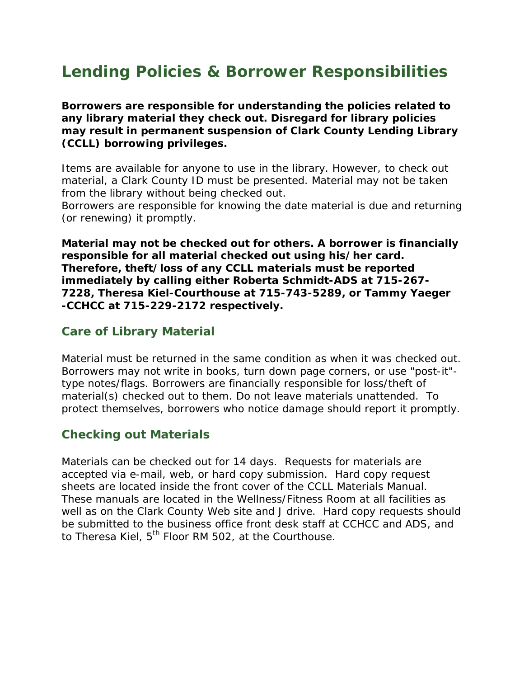# **Lending Policies & Borrower Responsibilities**

**Borrowers are responsible for understanding the policies related to any library material they check out. Disregard for library policies may result in permanent suspension of Clark County Lending Library (CCLL) borrowing privileges.** 

Items are available for anyone to use in the library. However, to check out material, a Clark County ID must be presented. Material may not be taken from the library without being checked out.

Borrowers are responsible for knowing the date material is due and returning (or renewing) it promptly.

**Material may not be checked out for others. A borrower is financially responsible for all material checked out using his/her card. Therefore, theft/loss of any CCLL materials must be reported immediately by calling either Roberta Schmidt-ADS at 715-267- 7228, Theresa Kiel-Courthouse at 715-743-5289, or Tammy Yaeger -CCHCC at 715-229-2172 respectively.** 

#### **Care of Library Material**

Material must be returned in the same condition as when it was checked out. Borrowers may not write in books, turn down page corners, or use "post-it" type notes/flags. Borrowers are financially responsible for loss/theft of material(s) checked out to them. Do not leave materials unattended. To protect themselves, borrowers who notice damage should report it promptly.

#### **Checking out Materials**

Materials can be checked out for 14 days. Requests for materials are accepted via e-mail, web, or hard copy submission. Hard copy request sheets are located inside the front cover of the CCLL Materials Manual. These manuals are located in the Wellness/Fitness Room at all facilities as well as on the Clark County Web site and J drive. Hard copy requests should be submitted to the business office front desk staff at CCHCC and ADS, and to Theresa Kiel,  $5<sup>th</sup>$  Floor RM 502, at the Courthouse.